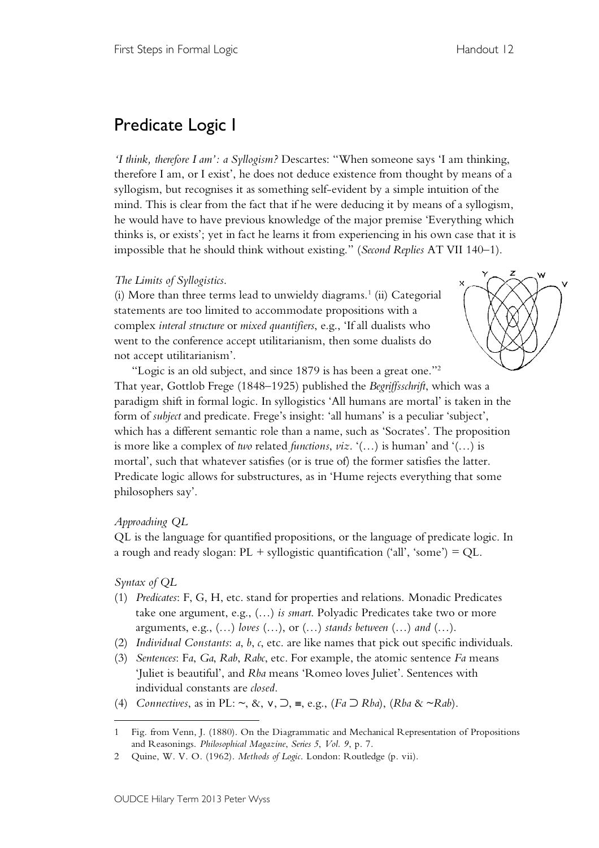## Predicate Logic I

*'I think, therefore I am': a Syllogism?* Descartes: "When someone says 'I am thinking, therefore I am, or I exist', he does not deduce existence from thought by means of a syllogism, but recognises it as something self-evident by a simple intuition of the mind. This is clear from the fact that if he were deducing it by means of a syllogism, he would have to have previous knowledge of the major premise 'Everything which thinks is, or exists'; yet in fact he learns it from experiencing in his own case that it is impossible that he should think without existing." (*Second Replies* AT VII 140–1).

## *The Limits of Syllogistics*.

(i) More than three terms lead to unwieldy diagrams. <sup>1</sup> (ii) Categorial statements are too limited to accommodate propositions with a complex *interal structure* or *mixed quantifiers*, e.g., 'If all dualists who went to the conference accept utilitarianism, then some dualists do not accept utilitarianism'.



"Logic is an old subject, and since 1879 is has been a great one."2 That year, Gottlob Frege (1848–1925) published the *Begriffsschrift*, which was a paradigm shift in formal logic. In syllogistics 'All humans are mortal' is taken in the form of *subject* and predicate. Frege's insight: 'all humans' is a peculiar 'subject', which has a different semantic role than a name, such as 'Socrates'. The proposition is more like a complex of *two* related *functions*, *viz*. '(…) is human' and '(…) is mortal', such that whatever satisfies (or is true of) the former satisfies the latter. Predicate logic allows for substructures, as in 'Hume rejects everything that some philosophers say'.

## *Approaching QL*

QL is the language for quantified propositions, or the language of predicate logic. In a rough and ready slogan:  $PL + syllogistic$  quantification ('all', 'some') = QL.

## *Syntax of QL*

 $\overline{a}$ 

- (1) *Predicates*: F, G, H, etc. stand for properties and relations. Monadic Predicates take one argument, e.g., (…) *is smart*. Polyadic Predicates take two or more arguments, e.g., (…) *loves* (…), or (…) *stands between* (…) *and* (…).
- (2) *Individual Constants*: *a*, *b*, *c*, etc. are like names that pick out specific individuals.
- (3) *Sentences*: F*a*, *Ga*, *Rab*, *Rabc*, etc. For example, the atomic sentence *Fa* means 'Juliet is beautiful', and *Rba* means 'Romeo loves Juliet'. Sentences with individual constants are *closed*.
- (4) *Connectives*, as in PL: ~, &, ∨, ⊃, ≡, e.g., (*Fa* ⊃ *Rba*), (*Rba* & ~*Rab*).

<sup>1</sup> Fig. from Venn, J. (1880). On the Diagrammatic and Mechanical Representation of Propositions and Reasonings. *Philosophical Magazine*, *Series 5*, *Vol. 9*, p. 7.

<sup>2</sup> Quine, W. V. O. (1962). *Methods of Logic*. London: Routledge (p. vii).